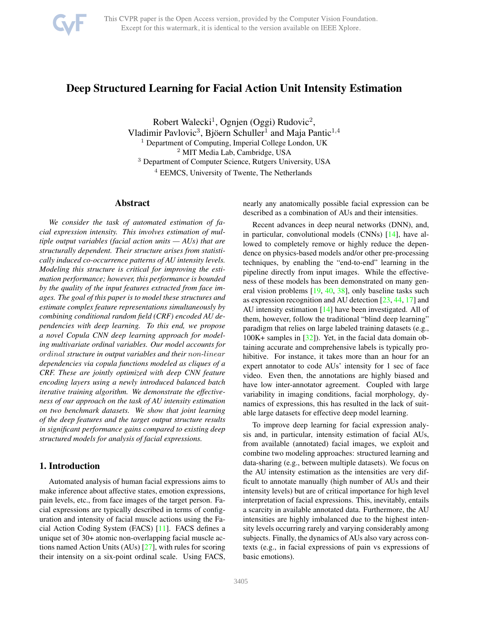

# <span id="page-0-1"></span>Deep Structured Learning for Facial Action Unit Intensity Estimation

Robert Walecki<sup>1</sup>, Ognjen (Oggi) Rudovic<sup>2</sup>, Vladimir Pavlovic<sup>3</sup>, Bjöern Schuller<sup>1</sup> and Maja Pantic<sup>1,4</sup> <sup>1</sup> Department of Computing, Imperial College London, UK <sup>2</sup> MIT Media Lab, Cambridge, USA <sup>3</sup> Department of Computer Science, Rutgers University, USA <sup>4</sup> EEMCS, University of Twente, The Netherlands

# Abstract

*We consider the task of automated estimation of facial expression intensity. This involves estimation of multiple output variables (facial action units — AUs) that are structurally dependent. Their structure arises from statistically induced co-occurrence patterns of AU intensity levels. Modeling this structure is critical for improving the estimation performance; however, this performance is bounded by the quality of the input features extracted from face images. The goal of this paper is to model these structures and estimate complex feature representations simultaneously by combining conditional random field (CRF) encoded AU dependencies with deep learning. To this end, we propose a novel Copula CNN deep learning approach for modeling multivariate ordinal variables. Our model accounts for* ordinal *structure in output variables and their* non*-*linear *dependencies via copula functions modeled as cliques of a CRF. These are jointly optimized with deep CNN feature encoding layers using a newly introduced balanced batch iterative training algorithm. We demonstrate the effectiveness of our approach on the task of AU intensity estimation on two benchmark datasets. We show that joint learning of the deep features and the target output structure results in significant performance gains compared to existing deep structured models for analysis of facial expressions.*

# <span id="page-0-0"></span>1. Introduction

Automated analysis of human facial expressions aims to make inference about affective states, emotion expressions, pain levels, etc., from face images of the target person. Facial expressions are typically described in terms of configuration and intensity of facial muscle actions using the Facial Action Coding System (FACS) [\[11\]](#page-8-0). FACS defines a unique set of 30+ atomic non-overlapping facial muscle actions named Action Units (AUs) [\[27\]](#page-8-1), with rules for scoring their intensity on a six-point ordinal scale. Using FACS,

nearly any anatomically possible facial expression can be described as a combination of AUs and their intensities.

Recent advances in deep neural networks (DNN), and, in particular, convolutional models (CNNs) [\[14\]](#page-8-2), have allowed to completely remove or highly reduce the dependence on physics-based models and/or other pre-processing techniques, by enabling the "end-to-end" learning in the pipeline directly from input images. While the effectiveness of these models has been demonstrated on many general vision problems [\[19,](#page-8-3) [40,](#page-9-0) [38\]](#page-9-1), only baseline tasks such as expression recognition and AU detection [\[23,](#page-8-4) [44,](#page-9-2) [17\]](#page-8-5) and AU intensity estimation [\[14\]](#page-8-2) have been investigated. All of them, however, follow the traditional "blind deep learning" paradigm that relies on large labeled training datasets (e.g., 100K+ samples in [\[32\]](#page-8-6)). Yet, in the facial data domain obtaining accurate and comprehensive labels is typically prohibitive. For instance, it takes more than an hour for an expert annotator to code AUs' intensity for 1 sec of face video. Even then, the annotations are highly biased and have low inter-annotator agreement. Coupled with large variability in imaging conditions, facial morphology, dynamics of expressions, this has resulted in the lack of suitable large datasets for effective deep model learning.

To improve deep learning for facial expression analysis and, in particular, intensity estimation of facial AUs, from available (annotated) facial images, we exploit and combine two modeling approaches: structured learning and data-sharing (e.g., between multiple datasets). We focus on the AU intensity estimation as the intensities are very difficult to annotate manually (high number of AUs and their intensity levels) but are of critical importance for high level interpretation of facial expressions. This, inevitably, entails a scarcity in available annotated data. Furthermore, the AU intensities are highly imbalanced due to the highest intensity levels occurring rarely and varying considerably among subjects. Finally, the dynamics of AUs also vary across contexts (e.g., in facial expressions of pain vs expressions of basic emotions).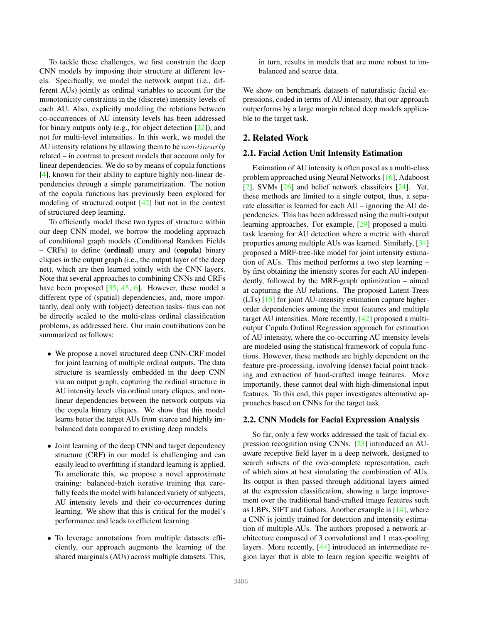<span id="page-1-0"></span>To tackle these challenges, we first constrain the deep CNN models by imposing their structure at different levels. Specifically, we model the network output (i.e., different AUs) jointly as ordinal variables to account for the monotonicity constraints in the (discrete) intensity levels of each AU. Also, explicitly modeling the relations between co-occurrences of AU intensity levels has been addressed for binary outputs only (e.g., for object detection [\[22\]](#page-8-7)), and not for multi-level intensities. In this work, we model the AU intensity relations by allowing them to be *non-linearly* related – in contrast to present models that account only for linear dependencies. We do so by means of copula functions [\[4\]](#page-8-8), known for their ability to capture highly non-linear dependencies through a simple parametrization. The notion of the copula functions has previously been explored for modeling of structured output  $[42]$  but not in the context of structured deep learning.

To efficiently model these two types of structure within our deep CNN model, we borrow the modeling approach of conditional graph models (Conditional Random Fields – CRFs) to define (ordinal) unary and (copula) binary cliques in the output graph (i.e., the output layer of the deep net), which are then learned jointly with the CNN layers. Note that several approaches to combining CNNs and CRFs have been proposed [\[35,](#page-8-9) [45,](#page-9-4) [6\]](#page-8-10). However, these model a different type of (spatial) dependencies, and, more importantly, deal only with (object) detection tasks- thus can not be directly scaled to the multi-class ordinal classification problems, as addressed here. Our main contributions can be summarized as follows:

- We propose a novel structured deep CNN-CRF model for joint learning of multiple ordinal outputs. The data structure is seamlessly embedded in the deep CNN via an output graph, capturing the ordinal structure in AU intensity levels via ordinal unary cliques, and nonlinear dependencies between the network outputs via the copula binary cliques. We show that this model learns better the target AUs from scarce and highly imbalanced data compared to existing deep models.
- Joint learning of the deep CNN and target dependency structure (CRF) in our model is challenging and can easily lead to overfitting if standard learning is applied. To ameliorate this, we propose a novel approximate training: balanced-batch iterative training that carefully feeds the model with balanced variety of subjects, AU intensity levels and their co-occurrences during learning. We show that this is critical for the model's performance and leads to efficient learning.
- To leverage annotations from multiple datasets efficiently, our approach augments the learning of the shared marginals (AUs) across multiple datasets. This,

in turn, results in models that are more robust to imbalanced and scarce data.

We show on benchmark datasets of naturalistic facial expressions, coded in terms of AU intensity, that our approach outperforms by a large margin related deep models applicable to the target task.

# 2. Related Work

#### 2.1. Facial Action Unit Intensity Estimation

Estimation of AU intensity is often posed as a multi-class problem approached using Neural Networks [\[16\]](#page-8-11), Adaboost [\[2\]](#page-8-12), SVMs [\[26\]](#page-8-13) and belief network classifeirs [\[24\]](#page-8-14). Yet, these methods are limited to a single output, thus, a separate classifier is learned for each AU – ignoring the AU dependencies. This has been addressed using the multi-output learning approaches. For example, [\[29\]](#page-8-15) proposed a multitask learning for AU detection where a metric with shared properties among multiple AUs was learned. Similarly, [\[34\]](#page-8-16) proposed a MRF-tree-like model for joint intensity estimation of AUs. This method performs a two step learning – by first obtaining the intensity scores for each AU independently, followed by the MRF-graph optimization – aimed at capturing the AU relations. The proposed Latent-Trees (LTs) [\[15\]](#page-8-17) for joint AU-intensity estimation capture higherorder dependencies among the input features and multiple target AU intensities. More recently, [\[42\]](#page-9-3) proposed a multioutput Copula Ordinal Regression approach for estimation of AU intensity, where the co-occurring AU intensity levels are modeled using the statistical framework of copula functions. However, these methods are highly dependent on the feature pre-processing, involving (dense) facial point tracking and extraction of hand-crafted image features. More importantly, these cannot deal with high-dimensional input features. To this end, this paper investigates alternative approaches based on CNNs for the target task.

### 2.2. CNN Models for Facial Expression Analysis

So far, only a few works addressed the task of facial expression recognition using CNNs. [\[23\]](#page-8-4) introduced an AUaware receptive field layer in a deep network, designed to search subsets of the over-complete representation, each of which aims at best simulating the combination of AUs. Its output is then passed through additional layers aimed at the expression classification, showing a large improvement over the traditional hand-crafted image features such as LBPs, SIFT and Gabors. Another example is [\[14\]](#page-8-2), where a CNN is jointly trained for detection and intensity estimation of multiple AUs. The authors proposed a network architecture composed of 3 convolutional and 1 max-pooling layers. More recently, [\[44\]](#page-9-2) introduced an intermediate region layer that is able to learn region specific weights of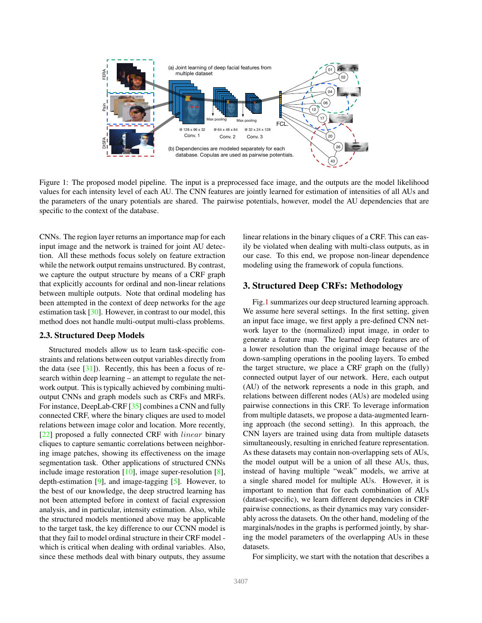<span id="page-2-2"></span><span id="page-2-0"></span>

Figure 1: The proposed model pipeline. The input is a preprocessed face image, and the outputs are the model likelihood values for each intensity level of each AU. The CNN features are jointly learned for estimation of intensities of all AUs and the parameters of the unary potentials are shared. The pairwise potentials, however, model the AU dependencies that are specific to the context of the database.

CNNs. The region layer returns an importance map for each input image and the network is trained for joint AU detection. All these methods focus solely on feature extraction while the network output remains unstructured. By contrast, we capture the output structure by means of a CRF graph that explicitly accounts for ordinal and non-linear relations between multiple outputs. Note that ordinal modeling has been attempted in the context of deep networks for the age estimation task [\[30\]](#page-8-18). However, in contrast to our model, this method does not handle multi-output multi-class problems.

#### 2.3. Structured Deep Models

Structured models allow us to learn task-specific constraints and relations between output variables directly from the data (see  $[31]$ ). Recently, this has been a focus of research within deep learning – an attempt to regulate the network output. This is typically achieved by combining multioutput CNNs and graph models such as CRFs and MRFs. For instance, DeepLab-CRF [\[35\]](#page-8-9) combines a CNN and fully connected CRF, where the binary cliques are used to model relations between image color and location. More recently, [\[22\]](#page-8-7) proposed a fully connected CRF with *linear* binary cliques to capture semantic correlations between neighboring image patches, showing its effectiveness on the image segmentation task. Other applications of structured CNNs include image restoration [\[10\]](#page-8-20), image super-resolution [\[8\]](#page-8-21), depth-estimation [\[9\]](#page-8-22), and image-tagging [\[5\]](#page-8-23). However, to the best of our knowledge, the deep structred learning has not been attempted before in context of facial expression analysis, and in particular, intensity estimation. Also, while the structured models mentioned above may be applicable to the target task, the key difference to our CCNN model is that they fail to model ordinal structure in their CRF model which is critical when dealing with ordinal variables. Also, since these methods deal with binary outputs, they assume linear relations in the binary cliques of a CRF. This can easily be violated when dealing with multi-class outputs, as in our case. To this end, we propose non-linear dependence modeling using the framework of copula functions.

### <span id="page-2-1"></span>3. Structured Deep CRFs: Methodology

Fig[.1](#page-2-0) summarizes our deep structured learning approach. We assume here several settings. In the first setting, given an input face image, we first apply a pre-defined CNN network layer to the (normalized) input image, in order to generate a feature map. The learned deep features are of a lower resolution than the original image because of the down-sampling operations in the pooling layers. To embed the target structure, we place a CRF graph on the (fully) connected output layer of our network. Here, each output (AU) of the network represents a node in this graph, and relations between different nodes (AUs) are modeled using pairwise connections in this CRF. To leverage information from multiple datasets, we propose a data-augmented learning approach (the second setting). In this approach, the CNN layers are trained using data from multiple datasets simultaneously, resulting in enriched feature representation. As these datasets may contain non-overlapping sets of AUs, the model output will be a union of all these AUs, thus, instead of having multiple "weak" models, we arrive at a single shared model for multiple AUs. However, it is important to mention that for each combination of AUs (dataset-specific), we learn different dependencies in CRF pairwise connections, as their dynamics may vary considerably across the datasets. On the other hand, modeling of the marginals/nodes in the graphs is performed jointly, by sharing the model parameters of the overlapping AUs in these datasets.

For simplicity, we start with the notation that describes a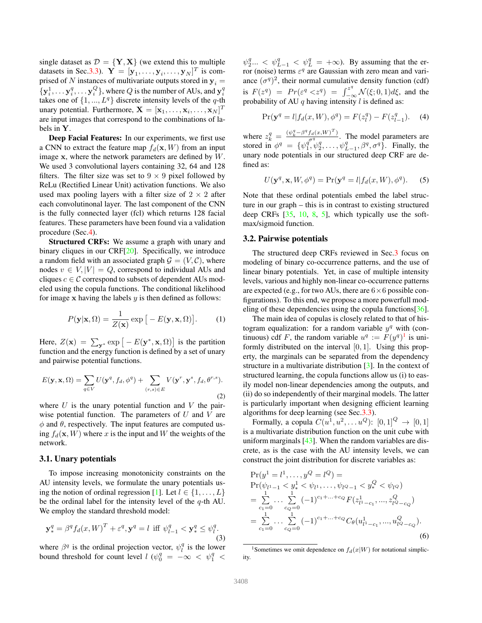<span id="page-3-4"></span>single dataset as  $\mathcal{D} = \{Y, X\}$  (we extend this to multiple datasets in Sec[.3.3\)](#page-5-0).  $\mathbf{Y} = [\mathbf{y}_1, \dots, \mathbf{y}_i, \dots, \mathbf{y}_N]^T$  is comprised of N instances of multivariate outputs stored in  $y_i =$  $\{y_i^1, \ldots, y_i^q, \ldots, y_i^Q\}$ , where Q is the number of AUs, and  $y_i^q$ takes one of  $\{1, ..., L^q\}$  discrete intensity levels of the q-th unary potential. Furthermore,  $\mathbf{X} = [\mathbf{x}_1, \dots, \mathbf{x}_i, \dots, \mathbf{x}_N]^T$ are input images that correspond to the combinations of labels in Y.

Deep Facial Features: In our experiments, we first use a CNN to extract the feature map  $f_d(\mathbf{x}, W)$  from an input image x, where the network parameters are defined by W. We used 3 convolutional layers containing 32, 64 and 128 filters. The filter size was set to  $9 \times 9$  pixel followed by ReLu (Rectified Linear Unit) activation functions. We also used max pooling layers with a filter size of  $2 \times 2$  after each convolutinonal layer. The last component of the CNN is the fully connected layer (fcl) which returns 128 facial features. These parameters have been found via a validation procedure (Sec[.4\)](#page-5-1).

Structured CRFs: We assume a graph with unary and binary cliques in our CRF[\[20\]](#page-8-24). Specifically, we introduce a random field with an associated graph  $\mathcal{G} = (V, \mathcal{C})$ , where nodes  $v \in V$ ,  $|V| = Q$ , correspond to individual AUs and cliques  $c \in \mathcal{C}$  correspond to subsets of dependent AUs modeled using the copula functions. The conditional likelihood for image  $x$  having the labels  $y$  is then defined as follows:

<span id="page-3-3"></span>
$$
P(\mathbf{y}|\mathbf{x},\Omega) = \frac{1}{Z(\mathbf{x})} \exp\left[-E(\mathbf{y}, \mathbf{x}, \Omega)\right].
$$
 (1)

Here,  $Z(\mathbf{x}) = \sum_{\mathbf{y}^*} \exp \left[ -E(\mathbf{y}^*, \mathbf{x}, \Omega) \right]$  is the partition function and the energy function is defined by a set of unary and pairwise potential functions.

$$
E(\mathbf{y}, \mathbf{x}, \Omega) = \sum_{q \in V} U(\mathbf{y}^q, f_d, \phi^q) + \sum_{(r,s) \in E} V(\mathbf{y}^r, \mathbf{y}^s, f_d, \theta^{r,s}).
$$
\n(2)

where  $U$  is the unary potential function and  $V$  the pairwise potential function. The parameters of  $U$  and  $V$  are  $\phi$  and  $\theta$ , respectively. The input features are computed using  $f_d(\mathbf{x}, W)$  where x is the input and W the weights of the network.

#### <span id="page-3-1"></span>3.1. Unary potentials

To impose increasing monotonicity constraints on the AU intensity levels, we formulate the unary potentials us-ing the notion of ordinal regression [\[1\]](#page-8-25). Let  $l \in \{1, \ldots, L\}$ be the ordinal label for the intensity level of the  $q$ -th AU. We employ the standard threshold model:

$$
\mathbf{y}_*^q = \beta^q f_d(x, W)^T + \varepsilon^q, \mathbf{y}^q = l \text{ iff } \psi_{l-1}^q < \mathbf{y}_*^q \le \psi_l^q. \tag{3}
$$

where  $\beta^q$  is the ordinal projection vector,  $\psi_l^q$  is the lower bound threshold for count level  $l$  ( $\psi_0^q$  =  $-\infty < \psi_1^q$  <

 $\psi_2^q \dots < \psi_{L-1}^q < \psi_L^q = +\infty$ ). By assuming that the error (noise) terms  $\varepsilon^q$  are Gaussian with zero mean and variance  $(\sigma^q)^2$ , their normal cumulative density function (cdf) is  $F(z^q) = Pr(\varepsilon^q < z^q) = \int_{-\infty}^{z^q} \mathcal{N}(\xi; 0, 1) d\xi$ , and the probability of AU  $q$  having intensity  $l$  is defined as:

<span id="page-3-2"></span>
$$
Pr(\mathbf{y}^{q} = l | f_d(x, W), \phi^q) = F(z_l^q) - F(z_{l-1}^q).
$$
 (4)

where  $z_k^q = \frac{(\psi_k^q - \beta^q f_d(x, W)^T)}{\sigma^q}$ . The model parameters are stored in  $\phi^q = {\phi_1^q, \psi_2^q, \dots, \psi_{L-1}^q, \beta^q, \sigma^q}$ . Finally, the unary node potentials in our structured deep CRF are defined as:

$$
U(\mathbf{y}^q, \mathbf{x}, W, \phi^q) = \Pr(\mathbf{y}^q = l | f_d(x, W), \phi^q).
$$
 (5)

Note that these ordinal potentials embed the label structure in our graph – this is in contrast to existing structured deep CRFs  $[35, 10, 8, 5]$  $[35, 10, 8, 5]$  $[35, 10, 8, 5]$  $[35, 10, 8, 5]$  $[35, 10, 8, 5]$  $[35, 10, 8, 5]$  $[35, 10, 8, 5]$ , which typically use the softmax/sigmoid function.

#### 3.2. Pairwise potentials

The structured deep CRFs reviewed in Sec[.3](#page-2-1) focus on modeling of binary co-occurrence patterns, and the use of linear binary potentials. Yet, in case of multiple intensity levels, various and highly non-linear co-occurrence patterns are expected (e.g., for two AUs, there are  $6 \times 6$  possible configurations). To this end, we propose a more powerfull modeling of these dependencies using the copula functions[\[36\]](#page-8-26).

The main idea of copulas is closely related to that of histogram equalization: for a random variable  $y<sup>q</sup>$  with (continuous) cdf F, the random variable  $u^q := F(y^q)$ <sup>[1](#page-3-0)</sup> is uniformly distributed on the interval  $[0, 1]$ . Using this property, the marginals can be separated from the dependency structure in a multivariate distribution [\[3\]](#page-8-27). In the context of structured learning, the copula functions allow us (i) to easily model non-linear dependencies among the outputs, and (ii) do so independently of their marginal models. The latter is particularly important when designing efficient learning algorithms for deep learning (see Sec[.3.3\)](#page-4-0).

Formally, a copula  $C(u^1, u^2, \dots u^Q)$ :  $[0, 1]^Q \rightarrow [0, 1]$ is a multivariate distribution function on the unit cube with uniform marginals [\[43\]](#page-9-5). When the random variables are discrete, as is the case with the AU intensity levels, we can construct the joint distribution for discrete variables as:

$$
\Pr(y^{1} = l^{1}, \dots, y^{Q} = l^{Q}) =
$$
\n
$$
\Pr(\psi_{l^{1}-1} < y^{1}_{*} < \psi_{l^{1}}, \dots, \psi_{l^{Q}-1} < y^{Q}_{*} < \psi_{l^{Q}})
$$
\n
$$
= \sum_{c_{1}=0}^{1} \dots \sum_{c_{Q}=0}^{1} (-1)^{c_{1} + \dots + c_{Q}} F(z^{1}_{l-c_{1}}, \dots, z^{Q}_{l^{Q}-c_{Q}})
$$
\n
$$
= \sum_{c_{1}=0}^{1} \dots \sum_{c_{Q}=0}^{1} (-1)^{c_{1} + \dots + c_{Q}} C_{\theta}(u^{1}_{l-c_{1}}, \dots, u^{Q}_{l^{Q}-c_{Q}}).
$$
\n(6)

<span id="page-3-0"></span><sup>&</sup>lt;sup>1</sup>Sometimes we omit dependence on  $f_d(x|W)$  for notational simplicity.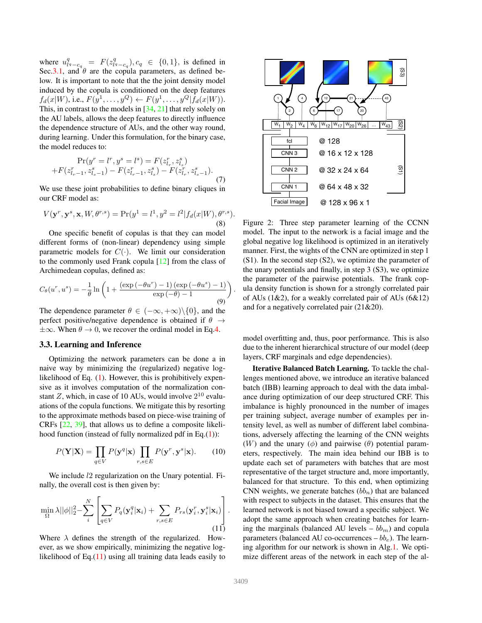<span id="page-4-3"></span>where  $u_{l^q-c_q}^q = F(z_{l^q-c_q}^q), c_q \in \{0,1\}$ , is defined in Sec[.3.1,](#page-3-1) and  $\theta$  are the copula parameters, as defined below. It is important to note that the the joint density model induced by the copula is conditioned on the deep features  $f_d(x|W)$ , i.e.,  $F(y^1, \ldots, y^Q) \leftarrow F(y^1, \ldots, y^Q | f_d(x|W))$ . This, in contrast to the models in [\[34,](#page-8-16) [21\]](#page-8-28) that rely solely on the AU labels, allows the deep features to directly influence the dependence structure of AUs, and the other way round, during learning. Under this formulation, for the binary case, the model reduces to:

$$
\Pr(y^r = l^r, y^s = l^s) = F(z_{l_r}^r, z_{l_s}^s)
$$
  
+
$$
F(z_{l_r-1}^r, z_{l_s-1}^s) - F(z_{l_r-1}^r, z_{l_s}^s) - F(z_{l_r}^r, z_{l_s-1}^s).
$$
 (7)

We use these joint probabilities to define binary cliques in our CRF model as:

$$
V(\mathbf{y}^r, \mathbf{y}^s, \mathbf{x}, W, \theta^{r,s}) = \Pr(y^1 = l^1, y^2 = l^2 | f_d(x|W), \theta^{r,s}).
$$
\n(8)

One specific benefit of copulas is that they can model different forms of (non-linear) dependency using simple parametric models for  $C(.)$ . We limit our consideration to the commonly used Frank copula [\[12\]](#page-8-29) from the class of Archimedean copulas, defined as:

$$
C_{\theta}(u^r, u^s) = -\frac{1}{\theta} \ln \left( 1 + \frac{(\exp(-\theta u^r) - 1)(\exp(-\theta u^s) - 1)}{\exp(-\theta) - 1} \right)
$$
\n(9)

The dependence parameter  $\theta \in (-\infty, +\infty) \setminus \{0\}$ , and the perfect positive/negative dependence is obtained if  $\theta \rightarrow$  $\pm\infty$ . When  $\theta \to 0$ , we recover the ordinal model in Eq[.4.](#page-3-2)

#### <span id="page-4-0"></span>3.3. Learning and Inference

Optimizing the network parameters can be done a in naive way by minimizing the (regularized) negative loglikelihood of Eq. [\(1\)](#page-3-3). However, this is prohibitively expensive as it involves computation of the normalization constant Z, which, in case of 10 AUs, would involve  $2^{10}$  evaluations of the copula functions. We mitigate this by resorting to the approximate methods based on piece-wise training of CRFs [\[22,](#page-8-7) [39\]](#page-9-6), that allows us to define a composite likelihood function (instead of fully normalized pdf in Eq. $(1)$ ):

$$
P(\mathbf{Y}|\mathbf{X}) = \prod_{q \in V} P(\mathbf{y}^q|\mathbf{x}) \prod_{r,s \in E} P(\mathbf{y}^r, \mathbf{y}^s|\mathbf{x}).
$$
 (10)

We include  $l2$  regularization on the Unary potential. Finally, the overall cost is then given by:

<span id="page-4-1"></span>
$$
\min_{\Omega} \lambda ||\phi||_2^2 - \sum_i^N \left[ \sum_{q \in V} P_q(\mathbf{y}_i^q | \mathbf{x}_i) + \sum_{r,s \in E} P_{rs}(\mathbf{y}_i^r, \mathbf{y}_i^s | \mathbf{x}_i) \right].
$$
\n(11)

Where  $\lambda$  defines the strength of the regularized. However, as we show empirically, minimizing the negative loglikelihood of Eq. $(11)$  using all training data leads easily to

<span id="page-4-2"></span>

Figure 2: Three step parameter learning of the CCNN model. The input to the network is a facial image and the global negative log likelihood is optimized in an iteratively manner. First, the wights of the CNN are optimized in step 1 (S1). In the second step (S2), we optimize the parameter of the unary potentials and finally, in step 3 (S3), we optimize the parameter of the pairwise potentials. The frank copula density function is shown for a strongly correlated pair of AUs (1&2), for a weakly correlated pair of AUs (6&12) and for a negatively correlated pair (21&20).

model overfitting and, thus, poor performance. This is also due to the inherent hierarchical structure of our model (deep layers, CRF marginals and edge dependencies).

Iterative Balanced Batch Learning. To tackle the challenges mentioned above, we introduce an iterative balanced batch (IBB) learning approach to deal with the data imbalance during optimization of our deep structured CRF. This imbalance is highly pronounced in the number of images per training subject, average number of examples per intensity level, as well as number of different label combinations, adversely affecting the learning of the CNN weights (W) and the unary ( $\phi$ ) and pairwise ( $\theta$ ) potential parameters, respectively. The main idea behind our IBB is to update each set of parameters with batches that are most representative of the target structure and, more importantly, balanced for that structure. To this end, when optimizing CNN weights, we generate batches  $(bb_n)$  that are balanced with respect to subjects in the dataset. This ensures that the learned network is not biased toward a specific subject. We adopt the same approach when creating batches for learning the marginals (balanced AU levels –  $bb_m$ ) and copula parameters (balanced AU co-occurrences  $-bb_e$ ). The learning algorithm for our network is shown in Alg[.1.](#page-5-0) We optimize different areas of the network in each step of the al-

.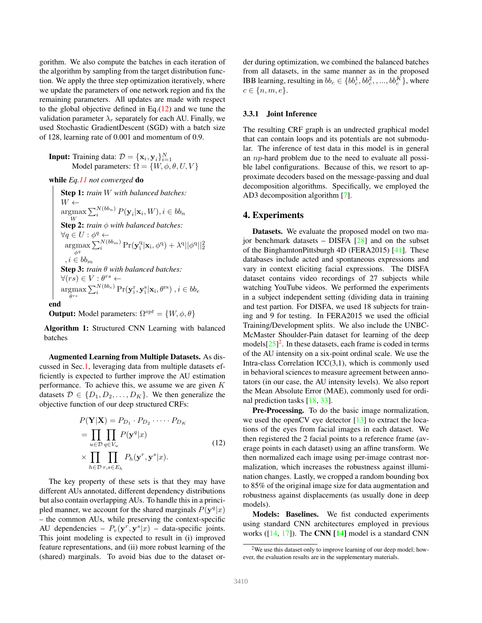<span id="page-5-4"></span>gorithm. We also compute the batches in each iteration of the algorithm by sampling from the target distribution function. We apply the three step optimization iteratively, where we update the parameters of one network region and fix the remaining parameters. All updates are made with respect to the global objective defined in Eq. $(12)$  and we tune the validation parameter  $\lambda_r$  separately for each AU. Finally, we used Stochastic GradientDescent (SGD) with a batch size of 128, learning rate of 0.001 and momentum of 0.9.

**Input:** Training data: 
$$
\mathcal{D} = {\mathbf{x}_i, \mathbf{y}_i}_{i=1}^N
$$
  
Model parameters:  $\Omega = {W, \phi, \theta, U, V}$ 

while *Eq[.11](#page-4-1) not converged* do

**Step 1:** train W with balanced batches:  
\n
$$
W \leftarrow
$$
  
\n $argmax_{W} \sum_{i}^{N(bb_n)} P(\mathbf{y}_i | \mathbf{x}_i, W), i \in bb_n$   
\n**Step 2:** train  $\phi$  with balanced batches:  
\n $\forall q \in U : \phi^q \leftarrow$   
\n $argmax_{\phi^q} \sum_{i}^{N(bb_m)} Pr(\mathbf{y}_i^q | \mathbf{x}_i, \phi^q) + \lambda^q ||\phi^q||_2^2$   
\n $, i \in bb_m$   
\n**Step 3:** train  $\theta$  with balanced batches:  
\n $\forall (rs) \in V : \theta^{rs} \leftarrow$   
\n $argmax_{\theta^{rs}} \sum_{i}^{N(bb_e)} Pr(\mathbf{y}_i^r, \mathbf{y}_i^s | \mathbf{x}_i, \theta^{rs}), i \in bb_e$   
\n**end**

**Output:** Model parameters:  $\Omega^{opt} = \{W, \phi, \theta\}$ 

Algorithm 1: Structured CNN Learning with balanced batches

Augmented Learning from Multiple Datasets. As discussed in Sec[.1,](#page-0-0) leveraging data from multiple datasets efficiently is expected to further improve the AU estimation performance. To achieve this, we assume we are given  $K$ datasets  $\mathcal{D} \in \{D_1, D_2, \ldots, D_K\}$ . We then generalize the objective function of our deep structured CRFs:

<span id="page-5-2"></span>
$$
P(\mathbf{Y}|\mathbf{X}) = P_{D_1} \cdot P_{D_2} \cdot \dots \cdot P_{D_K}
$$
  
= 
$$
\prod_{u \in D} \prod_{q \in V_u} P(\mathbf{y}^q | x)
$$
  

$$
\times \prod_{h \in \mathcal{D}} \prod_{r,s \in E_h} P_h(\mathbf{y}^r, \mathbf{y}^s | x).
$$
 (12)

The key property of these sets is that they may have different AUs annotated, different dependency distributions but also contain overlapping AUs. To handle this in a principled manner, we account for the shared marginals  $P(y^q|x)$ – the common AUs, while preserving the context-specific AU dependencies –  $P_v(\mathbf{y}^r, \mathbf{y}^s | x)$  – data-specific joints. This joint modeling is expected to result in (i) improved feature representations, and (ii) more robust learning of the (shared) marginals. To avoid bias due to the dataset order during optimization, we combined the balanced batches from all datasets, in the same manner as in the proposed IBB learning, resulting in  $bb_c \in \{bb_c^1, bb_c^2, \ldots, bb_c^K\}$ , where  $c \in \{n, m, e\}.$ 

#### 3.3.1 Joint Inference

The resulting CRF graph is an undrected graphical model that can contain loops and its potentials are not submodular. The inference of test data in this model is in general an np-hard problem due to the need to evaluate all possible label configurations. Because of this, we resort to approximate decoders based on the message-passing and dual decomposition algorithms. Specifically, we employed the AD3 decomposition algorithm [\[7\]](#page-8-30).

#### <span id="page-5-1"></span>4. Experiments

<span id="page-5-0"></span>Datasets. We evaluate the proposed model on two major benchmark datasets – DISFA  $[28]$  and on the subset of the BinghamtonPittsburgh 4D (FERA2015) [\[41\]](#page-9-7). These databases include acted and spontaneous expressions and vary in context eliciting facial expressions. The DISFA dataset contains video recordings of 27 subjects while watching YouTube videos. We performed the experiments in a subject independent setting (dividing data in training and test partion. For DISFA, we used 18 subjects for training and 9 for testing. In FERA2015 we used the official Training/Development splits. We also include the UNBC-McMaster Shoulder-Pain dataset for learning of the deep models $[25]^2$  $[25]^2$  $[25]^2$ . In these datasets, each frame is coded in terms of the AU intensity on a six-point ordinal scale. We use the Intra-class Correlation  $ICC(3,1)$ , which is commonly used in behavioral sciences to measure agreement between annotators (in our case, the AU intensity levels). We also report the Mean Absolute Error (MAE), commonly used for ordinal prediction tasks [\[18,](#page-8-33) [33\]](#page-8-34).

Pre-Processing. To do the basic image normalization, we used the openCV eye detector [\[13\]](#page-8-35) to extract the locations of the eyes from facial images in each dataset. We then registered the 2 facial points to a reference frame (average points in each dataset) using an affine transform. We then normalized each image using per-image contrast normalization, which increases the robustness against illumination changes. Lastly, we cropped a random bounding box to 85% of the original image size for data augmentation and robustness against displacements (as usually done in deep models).

Models: Baselines. We fist conducted experiments using standard CNN architectures employed in previous works ([\[14,](#page-8-2) [17\]](#page-8-5)). The CNN [\[14\]](#page-8-2) model is a standard CNN

<span id="page-5-3"></span><sup>&</sup>lt;sup>2</sup>We use this dataset only to improve learning of our deep model; however, the evaluation results are in the supplementary materials.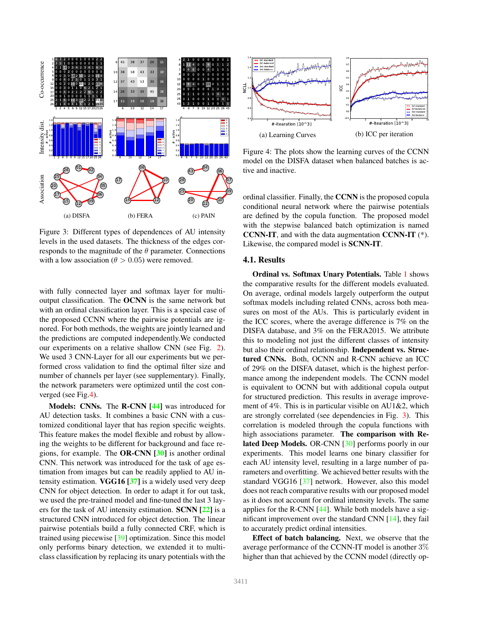<span id="page-6-2"></span><span id="page-6-1"></span>

Figure 3: Different types of dependences of AU intensity levels in the used datasets. The thickness of the edges corresponds to the magnitude of the  $\theta$  parameter. Connections with a low association ( $\theta > 0.05$ ) were removed.

with fully connected layer and softmax layer for multioutput classification. The OCNN is the same network but with an ordinal classification layer. This is a special case of the proposed CCNN where the pairwise potentials are ignored. For both methods, the weights are jointly learned and the predictions are computed independently.We conducted our experiments on a relative shallow CNN (see Fig. [2\)](#page-4-2). We used 3 CNN-Layer for all our experiments but we performed cross validation to find the optimal filter size and number of channels per layer (see supplementary). Finally, the network parameters were optimized until the cost converged (see Fig[.4\)](#page-6-0).

Models: CNNs. The R-CNN [\[44\]](#page-9-2) was introduced for AU detection tasks. It combines a basic CNN with a customized conditional layer that has region specific weights. This feature makes the model flexible and robust by allowing the weights to be different for background and face regions, for example. The OR-CNN [\[30\]](#page-8-18) is another ordinal CNN. This network was introduced for the task of age estimation from images but can be readily applied to AU intensity estimation. VGG16 [\[37\]](#page-9-8) is a widely used very deep CNN for object detection. In order to adapt it for out task, we used the pre-trained model and fine-tuned the last 3 layers for the task of AU intensity estimation. SCNN [\[22\]](#page-8-7) is a structured CNN introduced for object detection. The linear pairwise potentials build a fully connected CRF, which is trained using piecewise [\[39\]](#page-9-6) optimization. Since this model only performs binary detection, we extended it to multiclass classification by replacing its unary potentials with the

<span id="page-6-0"></span>

Figure 4: The plots show the learning curves of the CCNN model on the DISFA dataset when balanced batches is active and inactive.

ordinal classifier. Finally, the CCNN is the proposed copula conditional neural network where the pairwise potentials are defined by the copula function. The proposed model with the stepwise balanced batch optimization is named CCNN-IT, and with the data augmentation CCNN-IT (\*). Likewise, the compared model is SCNN-IT.

### 4.1. Results

Ordinal vs. Softmax Unary Potentials. Table [1](#page-7-0) shows the comparative results for the different models evaluated. On average, ordinal models largely outperform the output softmax models including related CNNs, across both measures on most of the AUs. This is particularly evident in the ICC scores, where the average difference is 7% on the DISFA database, and 3% on the FERA2015. We attribute this to modeling not just the different classes of intensity but also their ordinal relationship. Independent vs. Structured CNNs. Both, OCNN and R-CNN achieve an ICC of 29% on the DISFA dataset, which is the highest performance among the independent models. The CCNN model is equivalent to OCNN but with additional copula output for structured prediction. This results in average improvement of 4%. This is in particular visible on AU1&2, which are strongly correlated (see dependencies in Fig. [3\)](#page-6-1). This correlation is modeled through the copula functions with high associations parameter. The comparison with Related Deep Models. OR-CNN [\[30\]](#page-8-18) performs poorly in our experiments. This model learns one binary classifier for each AU intensity level, resulting in a large number of parameters and overfitting. We achieved better results with the standard VGG16 [\[37\]](#page-9-8) network. However, also this model does not reach comparative results with our proposed model as it does not account for ordinal intensity levels. The same applies for the R-CNN [\[44\]](#page-9-2). While both models have a significant improvement over the standard CNN [\[14\]](#page-8-2), they fail to accurately predict ordinal intensities.

Effect of batch balancing. Next, we observe that the average performance of the CCNN-IT model is another 3% higher than that achieved by the CCNN model (directly op-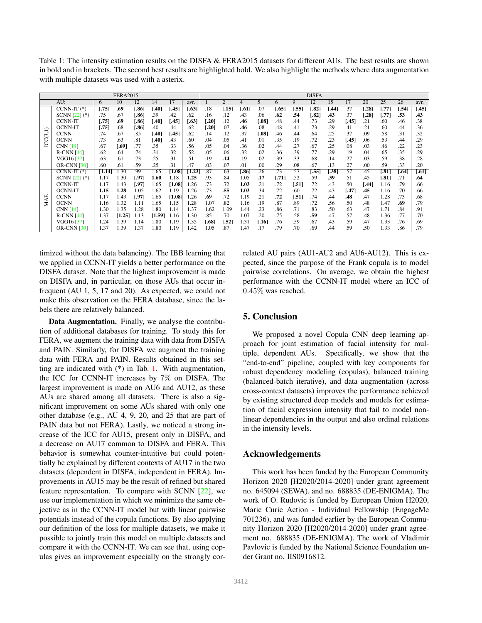<span id="page-7-1"></span><span id="page-7-0"></span>Table 1: The intensity estimation results on the DISFA & FERA2015 datasets for different AUs. The best results are shown in bold and in brackets. The second best results are highlighted bold. We also highlight the methods where data augmentation with multiple datasets was used with a asterix.

|                       | <b>FERA2015</b>    |        |        |       |        |                   |                    |         | <b>DISFA</b>   |       |       |       |         |                  |                    |       |       |                  |                 |                  |  |
|-----------------------|--------------------|--------|--------|-------|--------|-------------------|--------------------|---------|----------------|-------|-------|-------|---------|------------------|--------------------|-------|-------|------------------|-----------------|------------------|--|
|                       | AU:                | 6      | 10     | 12    | 14     | 17                | avr.               |         | $\overline{c}$ | 4     | 5     | 6     | 9       | 12               | 15                 | 17    | 20    | 25               | 26              | avr.             |  |
| ≘<br>ICC <sub>3</sub> | CCNN-IT $(*)$      | [.75]  | .69    | [.86] | [.40]  | [.45]             | [.63]              | .18     | $[.15]$        | [.61] | .07   | [.65] | (.55)   | [.82]            | [.44]              | .37   | [.28] | [.77]            | (.54)           | [.45]            |  |
|                       | SCNN $[22]$ $(*)$  | .75    | .67    | [.86] | .39    | .42               | .62                | .16     | .12            | .43   | .06   | .62   | .54     | [.82]            | .43                | .37   | [.28] | [.77]            | .53             | .43              |  |
|                       | <b>CCNN-IT</b>     | [.75]  | .69    | [.86] | [.40]  | [.45]             | [.63]              | [.20]   | .12            | .46   | [.08] | .48   | .44     | .73              | .29                | [.45] | .21   | .60              | .46             | .38              |  |
|                       | <b>OCNN-IT</b>     | [.75]  | .68    | [.86] | .40    | .44               | .62                | $[.20]$ | .07            | .46   | .08   | .48   | .41     | .73              | .29                | .41   | .21   | .60              | .44             | .36              |  |
|                       | <b>CCNN</b>        | .74    | .67    | .85   | [.40]  | [.45]             | .62                | .14     | .12            | .37   | [.08] | .46   | .44     | .64              | .25                | .37   | .09   | .58              | .31             | .32              |  |
|                       | <b>OCNN</b>        | .73    | .63    | .81   | [.40]  | .43               | .60                | .04     | .05            | .41   | .01   | .35   | .19     | .72              | .23                | [.45] | .06   | .53              | .44             | .29              |  |
|                       | <b>CNN</b> [14]    | .67    | [.69]  | .77   | .35    | .33               | .56                | .05     | .04            | .36   | .02   | .44   | .27     | .67              | .25                | .08   | .03   | .46              | .22             | .23              |  |
|                       | <b>R-CNN</b> [44]  | .62    | .64    | .74   | .31    | .32               | .52                | .05     | .06            | .32   | .02   | .36   | .39     | .77              | .29                | .19   | .04   | .65              | .35             | .29              |  |
|                       | VGG16 [37]         | .63    | .61    | .73   | .25    | .31               | .51                | .19     | .14            | .19   | .02   | .39   | .33     | .68              | .14                | .27   | .03   | .59              | .38             | .28              |  |
|                       | <b>OR-CNN</b> [30] | .60    | .61    | .59   | .25    | .31               | .47                | .03     | .07            | .01   | .00   | .29   | .08     | .67              | .13                | .27   | .00   | .59              | .33             | .20              |  |
| MAE                   | $CCNN-IT$ (*)      | [1.14] | 1.30   | .99   | 1.65   | $\overline{1.08}$ | $\overline{11.23}$ | .87     | .63            | 5.86  | .26   | .73   | .57     | $\overline{.55}$ | $\overline{.38}$ ] | .57   | .45   | $\overline{.81}$ | $\overline{64}$ | $\overline{.61}$ |  |
|                       | SCNN [22] (*)      | 1.17   | 1.30   | [.97] | 1.60   | 1.18              | 1.25               | .93     | .84            | 1.05  | .17   | [.71] | .52     | .59              | .39                | .51   | .45   | [.81]            | .71             | .64              |  |
|                       | <b>CCNN-IT</b>     | 1.17   | 1.43   | [.97] | 1.65   | [1.08]            | 1.26               | .73     | .72            | 1.03  | .21   | .72   | $[.51]$ | .72              | .43                | .50   | [.44] | 1.16             | .79             | .66              |  |
|                       | <b>OCNN-IT</b>     | 1.15   | 1.28   | 1.05  | 1.62   | 1.19              | 1.26               | .73     | .55            | 1.03  | .34   | .72   | .60     | .72              | .43                | [.47] | .45   | 1.16             | .70             | .66              |  |
|                       | <b>CCNN</b>        | 1.17   | 1.43   | [.97] | 1.65   | [1.08]            | 1.26               | .69     | .72            | 1.19  | .21   | .72   | 511     | .74              | .44                | .48   | .47   | 1.28             | .73             | .68              |  |
|                       | <b>OCNN</b>        | 1.16   | 1.32   | 1.11  | 1.65   | 1.15              | 1.28               | 1.07    | .82            | 1.16  | .19   | .87   | .89     | .72              | .56                | .50   | .48   | 1.47             | .69             | .79              |  |
|                       | <b>CNN</b> [14]    | 1.30   | 1.35   | 1.28  | 1.80   | 1.14              | 1.37               | 1.62    | 1.09           | 1.44  | .23   | .86   | .71     | .83              | .50                | .63   | .47   | 1.71             | .84             | .91              |  |
|                       | $R$ -CNN [44]      | 1.37   | [1.25] | 1.13  | [1.59] | 1.16              | 1.30               | .85     | .70            | 1.07  | .20   | .75   | .58     | .59              | .47                | .57   | .48   | 1.36             | .77             | .70              |  |
|                       | VGG16 [37]         | 1.24   | 1.39   | 1.14  | 1.80   | 1.19              | 1.35               | [.68]   | $[.52]$        | 1.31  | [.16] | .76   | .59     | .67              | .43                | .59   | .47   | 1.33             | .76             | .69              |  |
|                       | <b>OR-CNN [30]</b> | 1.37   | 1.39   | 1.37  | 1.80   | 1.19              | 1.42               | 1.05    | .87            | 1.47  | .17   | .79   | .70     | .69              | .44                | .59   | .50   | 1.33             | .86             | .79              |  |

timized without the data balancing). The IBB learning that we applied in CCNN-IT yields a better performance on the DISFA dataset. Note that the highest improvement is made on DISFA and, in particular, on those AUs that occur infrequent (AU 1, 5, 17 and 20). As expected, we could not make this observation on the FERA database, since the labels there are relatively balanced.

Data Augmentation. Finally, we analyse the contribution of additional databases for training. To study this for FERA, we augment the training data with data from DISFA and PAIN. Similarly, for DISFA we augment the training data with FERA and PAIN. Results obtained in this setting are indicated with (\*) in Tab. [1.](#page-7-0) With augmentation, the ICC for CCNN-IT increases by 7% on DISFA. The largest improvement is made on AU6 and AU12, as these AUs are shared among all datasets. There is also a significant improvement on some AUs shared with only one other database (e.g., AU 4, 9, 20, and 25 that are part of PAIN data but not FERA). Lastly, we noticed a strong increase of the ICC for AU15, present only in DISFA, and a decrease on AU17 common to DISFA and FERA. This behavior is somewhat counter-intuitive but could potentially be explained by different contexts of AU17 in the two datasets (dependent in DISFA, independent in FERA). Improvements in AU15 may be the result of refined but shared feature representation. To compare with SCNN [\[22\]](#page-8-7), we use our implementation in which we minimize the same objective as in the CCNN-IT model but with linear pairwise potentials instead of the copula functions. By also applying our definition of the loss for multiple datasets, we make it possible to jointly train this model on multiple datasets and compare it with the CCNN-IT. We can see that, using copulas gives an improvement especially on the strongly correlated AU pairs (AU1-AU2 and AU6-AU12). This is expected, since the purpose of the Frank copula is to model pairwise correlations. On average, we obtain the highest performance with the CCNN-IT model where an ICC of 0.45% was reached.

# 5. Conclusion

We proposed a novel Copula CNN deep learning approach for joint estimation of facial intensity for multiple, dependent AUs. Specifically, we show that the "end-to-end" pipeline, coupled with key components for robust dependency modeling (copulas), balanced training (balanced-batch iterative), and data augmentation (across cross-context datasets) improves the performance achieved by existing structured deep models and models for estimation of facial expression intensity that fail to model nonlinear dependencies in the output and also ordinal relations in the intensity levels.

# Acknowledgements

This work has been funded by the European Community Horizon 2020 [H2020/2014-2020] under grant agreement no. 645094 (SEWA). and no. 688835 (DE-ENIGMA). The work of O. Rudovic is funded by European Union H2020, Marie Curie Action - Individual Fellowship (EngageMe 701236), and was funded earlier by the European Community Horizon 2020 [H2020/2014-2020] under grant agreement no. 688835 (DE-ENIGMA). The work of Vladimir Pavlovic is funded by the National Science Foundation under Grant no. IIS0916812.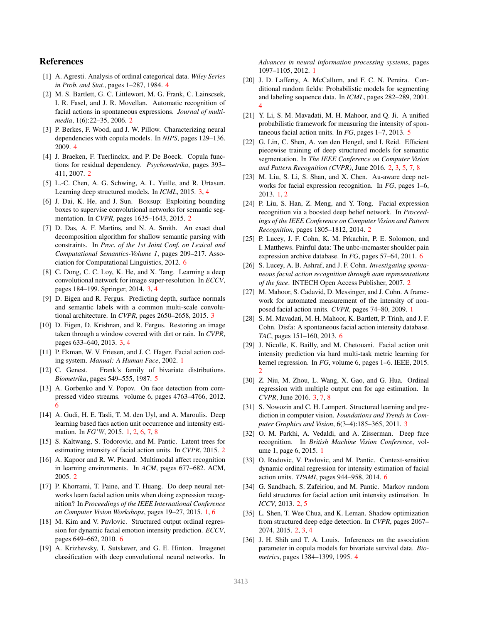### References

- <span id="page-8-25"></span>[1] A. Agresti. Analysis of ordinal categorical data. *Wiley Series in Prob. and Stat.*, pages 1–287, 1984. [4](#page-3-4)
- <span id="page-8-12"></span>[2] M. S. Bartlett, G. C. Littlewort, M. G. Frank, C. Lainscsek, I. R. Fasel, and J. R. Movellan. Automatic recognition of facial actions in spontaneous expressions. *Journal of multimedia*, 1(6):22–35, 2006. [2](#page-1-0)
- <span id="page-8-27"></span>[3] P. Berkes, F. Wood, and J. W. Pillow. Characterizing neural dependencies with copula models. In *NIPS*, pages 129–136. 2009. [4](#page-3-4)
- <span id="page-8-8"></span>[4] J. Braeken, F. Tuerlinckx, and P. De Boeck. Copula functions for residual dependency. *Psychometrika*, pages 393– 411, 2007. [2](#page-1-0)
- <span id="page-8-23"></span>[5] L.-C. Chen, A. G. Schwing, A. L. Yuille, and R. Urtasun. Learning deep structured models. In *ICML*, 2015. [3,](#page-2-2) [4](#page-3-4)
- <span id="page-8-10"></span>[6] J. Dai, K. He, and J. Sun. Boxsup: Exploiting bounding boxes to supervise convolutional networks for semantic segmentation. In *CVPR*, pages 1635–1643, 2015. [2](#page-1-0)
- <span id="page-8-30"></span>[7] D. Das, A. F. Martins, and N. A. Smith. An exact dual decomposition algorithm for shallow semantic parsing with constraints. In *Proc. of the 1st Joint Conf. on Lexical and Computational Semantics-Volume 1*, pages 209–217. Association for Computational Linguistics, 2012. [6](#page-5-4)
- <span id="page-8-21"></span>[8] C. Dong, C. C. Loy, K. He, and X. Tang. Learning a deep convolutional network for image super-resolution. In *ECCV*, pages 184–199. Springer, 2014. [3,](#page-2-2) [4](#page-3-4)
- <span id="page-8-22"></span>[9] D. Eigen and R. Fergus. Predicting depth, surface normals and semantic labels with a common multi-scale convolutional architecture. In *CVPR*, pages 2650–2658, 2015. [3](#page-2-2)
- <span id="page-8-20"></span>[10] D. Eigen, D. Krishnan, and R. Fergus. Restoring an image taken through a window covered with dirt or rain. In *CVPR*, pages 633–640, 2013. [3,](#page-2-2) [4](#page-3-4)
- <span id="page-8-0"></span>[11] P. Ekman, W. V. Friesen, and J. C. Hager. Facial action coding system. *Manual: A Human Face*, 2002. [1](#page-0-1)
- <span id="page-8-29"></span>[12] C. Genest. Frank's family of bivariate distributions. *Biometrika*, pages 549–555, 1987. [5](#page-4-3)
- <span id="page-8-35"></span>[13] A. Gorbenko and V. Popov. On face detection from compressed video streams. volume 6, pages 4763–4766, 2012. [6](#page-5-4)
- <span id="page-8-2"></span>[14] A. Gudi, H. E. Tasli, T. M. den Uyl, and A. Maroulis. Deep learning based facs action unit occurrence and intensity estimation. In *FG'W*, 2015. [1,](#page-0-1) [2,](#page-1-0) [6,](#page-5-4) [7,](#page-6-2) [8](#page-7-1)
- <span id="page-8-17"></span>[15] S. Kaltwang, S. Todorovic, and M. Pantic. Latent trees for estimating intensity of facial action units. In *CVPR*, 2015. [2](#page-1-0)
- <span id="page-8-11"></span>[16] A. Kapoor and R. W. Picard. Multimodal affect recognition in learning environments. In *ACM*, pages 677–682. ACM, 2005. [2](#page-1-0)
- <span id="page-8-5"></span>[17] P. Khorrami, T. Paine, and T. Huang. Do deep neural networks learn facial action units when doing expression recognition? In *Proceedings of the IEEE International Conference on Computer Vision Workshops*, pages 19–27, 2015. [1,](#page-0-1) [6](#page-5-4)
- <span id="page-8-33"></span>[18] M. Kim and V. Pavlovic. Structured output ordinal regression for dynamic facial emotion intensity prediction. *ECCV*, pages 649–662, 2010. [6](#page-5-4)
- <span id="page-8-3"></span>[19] A. Krizhevsky, I. Sutskever, and G. E. Hinton. Imagenet classification with deep convolutional neural networks. In

*Advances in neural information processing systems*, pages 1097–1105, 2012. [1](#page-0-1)

- <span id="page-8-24"></span>[20] J. D. Lafferty, A. McCallum, and F. C. N. Pereira. Conditional random fields: Probabilistic models for segmenting and labeling sequence data. In *ICML*, pages 282–289, 2001. [4](#page-3-4)
- <span id="page-8-28"></span>[21] Y. Li, S. M. Mavadati, M. H. Mahoor, and Q. Ji. A unified probabilistic framework for measuring the intensity of spontaneous facial action units. In *FG*, pages 1–7, 2013. [5](#page-4-3)
- <span id="page-8-7"></span>[22] G. Lin, C. Shen, A. van den Hengel, and I. Reid. Efficient piecewise training of deep structured models for semantic segmentation. In *The IEEE Conference on Computer Vision and Pattern Recognition (CVPR)*, June 2016. [2,](#page-1-0) [3,](#page-2-2) [5,](#page-4-3) [7,](#page-6-2) [8](#page-7-1)
- <span id="page-8-4"></span>[23] M. Liu, S. Li, S. Shan, and X. Chen. Au-aware deep networks for facial expression recognition. In *FG*, pages 1–6, 2013. [1,](#page-0-1) [2](#page-1-0)
- <span id="page-8-14"></span>[24] P. Liu, S. Han, Z. Meng, and Y. Tong. Facial expression recognition via a boosted deep belief network. In *Proceedings of the IEEE Conference on Computer Vision and Pattern Recognition*, pages 1805–1812, 2014. [2](#page-1-0)
- <span id="page-8-32"></span>[25] P. Lucey, J. F. Cohn, K. M. Prkachin, P. E. Solomon, and I. Matthews. Painful data: The unbc-mcmaster shoulder pain expression archive database. In *FG*, pages 57–64, 2011. [6](#page-5-4)
- <span id="page-8-13"></span>[26] S. Lucey, A. B. Ashraf, and J. F. Cohn. *Investigating spontaneous facial action recognition through aam representations of the face*. INTECH Open Access Publisher, 2007. [2](#page-1-0)
- <span id="page-8-1"></span>[27] M. Mahoor, S. Cadavid, D. Messinger, and J. Cohn. A framework for automated measurement of the intensity of nonposed facial action units. *CVPR*, pages 74–80, 2009. [1](#page-0-1)
- <span id="page-8-31"></span>[28] S. M. Mavadati, M. H. Mahoor, K. Bartlett, P. Trinh, and J. F. Cohn. Disfa: A spontaneous facial action intensity database. *TAC*, pages 151–160, 2013. [6](#page-5-4)
- <span id="page-8-15"></span>[29] J. Nicolle, K. Bailly, and M. Chetouani. Facial action unit intensity prediction via hard multi-task metric learning for kernel regression. In *FG*, volume 6, pages 1–6. IEEE, 2015. [2](#page-1-0)
- <span id="page-8-18"></span>[30] Z. Niu, M. Zhou, L. Wang, X. Gao, and G. Hua. Ordinal regression with multiple output cnn for age estimation. In *CVPR*, June 2016. [3,](#page-2-2) [7,](#page-6-2) [8](#page-7-1)
- <span id="page-8-19"></span>[31] S. Nowozin and C. H. Lampert. Structured learning and prediction in computer vision. *Foundations and Trends in Computer Graphics and Vision*, 6(3–4):185–365, 2011. [3](#page-2-2)
- <span id="page-8-6"></span>[32] O. M. Parkhi, A. Vedaldi, and A. Zisserman. Deep face recognition. In *British Machine Vision Conference*, volume 1, page 6, 2015. [1](#page-0-1)
- <span id="page-8-34"></span>[33] O. Rudovic, V. Pavlovic, and M. Pantic. Context-sensitive dynamic ordinal regression for intensity estimation of facial action units. *TPAMI*, pages 944–958, 2014. [6](#page-5-4)
- <span id="page-8-16"></span>[34] G. Sandbach, S. Zafeiriou, and M. Pantic. Markov random field structures for facial action unit intensity estimation. In *ICCV*, 2013. [2,](#page-1-0) [5](#page-4-3)
- <span id="page-8-9"></span>[35] L. Shen, T. Wee Chua, and K. Leman. Shadow optimization from structured deep edge detection. In *CVPR*, pages 2067– 2074, 2015. [2,](#page-1-0) [3,](#page-2-2) [4](#page-3-4)
- <span id="page-8-26"></span>[36] J. H. Shih and T. A. Louis. Inferences on the association parameter in copula models for bivariate survival data. *Biometrics*, pages 1384–1399, 1995. [4](#page-3-4)